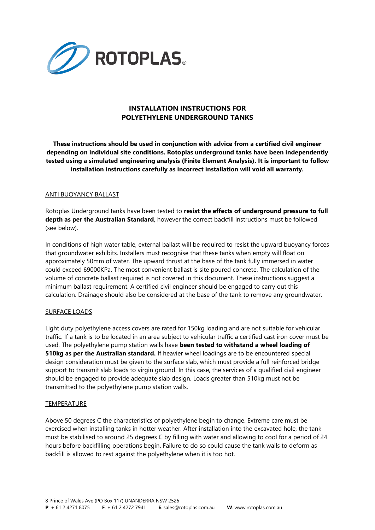

# **INSTALLATION INSTRUCTIONS FOR POLYETHYLENE UNDERGROUND TANKS**

**These instructions should be used in conjunction with advice from a certified civil engineer depending on individual site conditions. Rotoplas underground tanks have been independently tested using a simulated engineering analysis (Finite Element Analysis). It is important to follow installation instructions carefully as incorrect installation will void all warranty.**

## ANTI BUOYANCY BALLAST

Rotoplas Underground tanks have been tested to **resist the effects of underground pressure to full depth as per the Australian Standard**, however the correct backfill instructions must be followed (see below).

In conditions of high water table, external ballast will be required to resist the upward buoyancy forces that groundwater exhibits. Installers must recognise that these tanks when empty will float on approximately 50mm of water. The upward thrust at the base of the tank fully immersed in water could exceed 69000KPa. The most convenient ballast is site poured concrete. The calculation of the volume of concrete ballast required is not covered in this document. These instructions suggest a minimum ballast requirement. A certified civil engineer should be engaged to carry out this calculation. Drainage should also be considered at the base of the tank to remove any groundwater.

#### SURFACE LOADS

Light duty polyethylene access covers are rated for 150kg loading and are not suitable for vehicular traffic. If a tank is to be located in an area subject to vehicular traffic a certified cast iron cover must be used. The polyethylene pump station walls have **been tested to withstand a wheel loading of 510kg as per the Australian standard.** If heavier wheel loadings are to be encountered special design consideration must be given to the surface slab, which must provide a full reinforced bridge support to transmit slab loads to virgin ground. In this case, the services of a qualified civil engineer should be engaged to provide adequate slab design. Loads greater than 510kg must not be transmitted to the polyethylene pump station walls.

#### **TEMPERATURE**

Above 50 degrees C the characteristics of polyethylene begin to change. Extreme care must be exercised when installing tanks in hotter weather. After installation into the excavated hole, the tank must be stabilised to around 25 degrees C by filling with water and allowing to cool for a period of 24 hours before backfilling operations begin. Failure to do so could cause the tank walls to deform as backfill is allowed to rest against the polyethylene when it is too hot.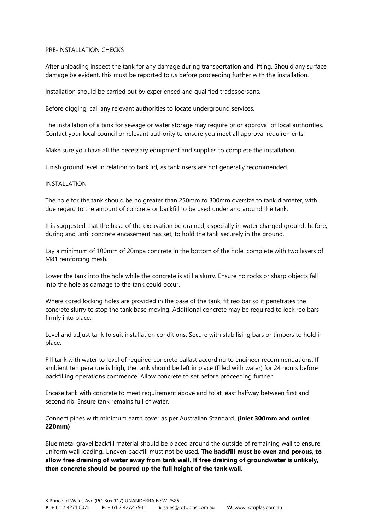### PRE-INSTALLATION CHECKS

After unloading inspect the tank for any damage during transportation and lifting. Should any surface damage be evident, this must be reported to us before proceeding further with the installation.

Installation should be carried out by experienced and qualified tradespersons.

Before digging, call any relevant authorities to locate underground services.

The installation of a tank for sewage or water storage may require prior approval of local authorities. Contact your local council or relevant authority to ensure you meet all approval requirements.

Make sure you have all the necessary equipment and supplies to complete the installation.

Finish ground level in relation to tank lid, as tank risers are not generally recommended.

#### INSTALLATION

The hole for the tank should be no greater than 250mm to 300mm oversize to tank diameter, with due regard to the amount of concrete or backfill to be used under and around the tank.

It is suggested that the base of the excavation be drained, especially in water charged ground, before, during and until concrete encasement has set, to hold the tank securely in the ground.

Lay a minimum of 100mm of 20mpa concrete in the bottom of the hole, complete with two layers of M81 reinforcing mesh.

Lower the tank into the hole while the concrete is still a slurry. Ensure no rocks or sharp objects fall into the hole as damage to the tank could occur.

Where cored locking holes are provided in the base of the tank, fit reo bar so it penetrates the concrete slurry to stop the tank base moving. Additional concrete may be required to lock reo bars firmly into place.

Level and adjust tank to suit installation conditions. Secure with stabilising bars or timbers to hold in place.

Fill tank with water to level of required concrete ballast according to engineer recommendations. If ambient temperature is high, the tank should be left in place (filled with water) for 24 hours before backfilling operations commence. Allow concrete to set before proceeding further.

Encase tank with concrete to meet requirement above and to at least halfway between first and second rib. Ensure tank remains full of water.

Connect pipes with minimum earth cover as per Australian Standard. **(inlet 300mm and outlet 220mm)**

Blue metal gravel backfill material should be placed around the outside of remaining wall to ensure uniform wall loading. Uneven backfill must not be used. **The backfill must be even and porous, to allow free draining of water away from tank wall. If free draining of groundwater is unlikely, then concrete should be poured up the full height of the tank wall.**